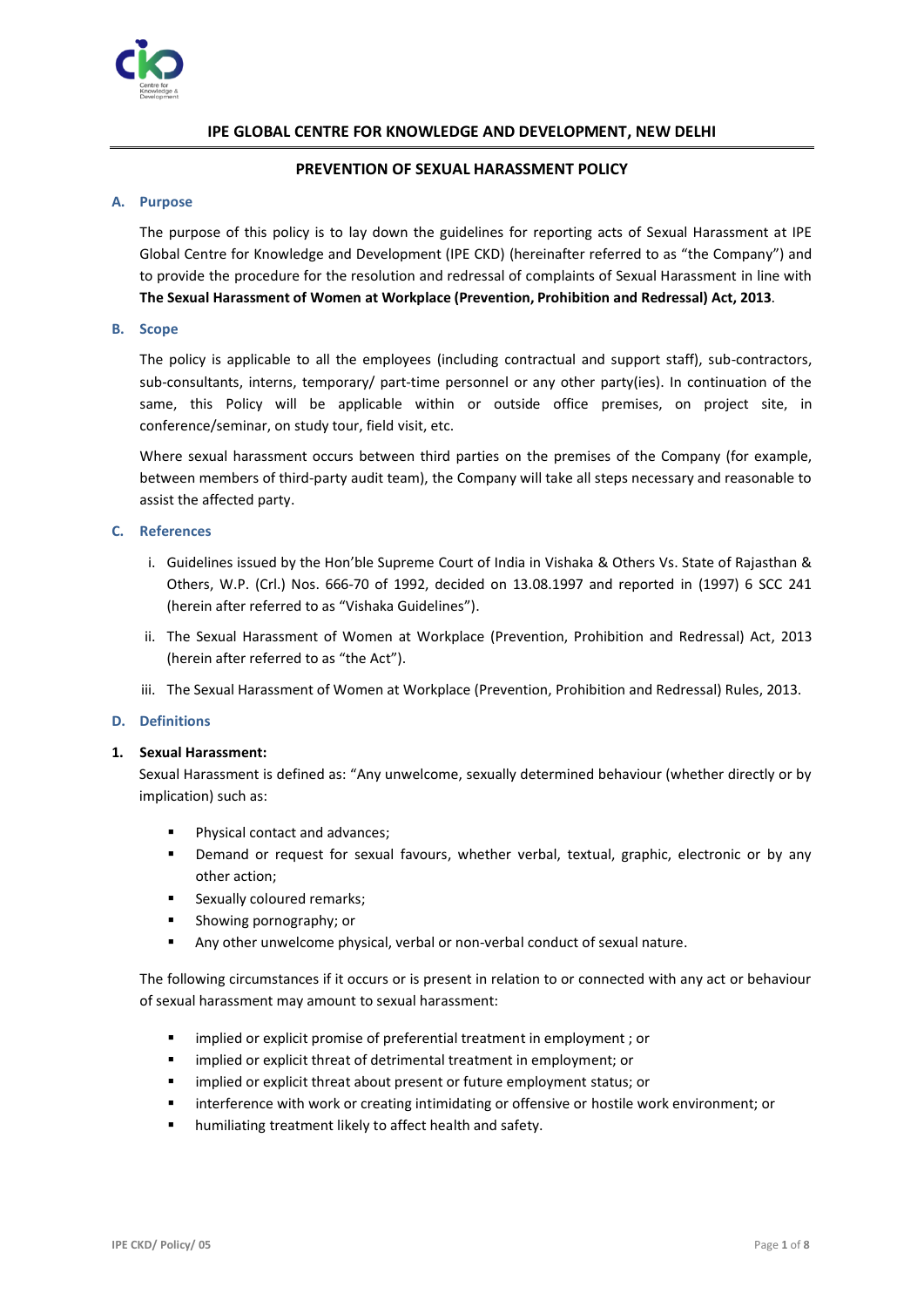

# **IPE GLOBAL CENTRE FOR KNOWLEDGE AND DEVELOPMENT, NEW DELHI**

## **PREVENTION OF SEXUAL HARASSMENT POLICY**

#### **A. Purpose**

The purpose of this policy is to lay down the guidelines for reporting acts of Sexual Harassment at IPE Global Centre for Knowledge and Development (IPE CKD) (hereinafter referred to as "the Company") and to provide the procedure for the resolution and redressal of complaints of Sexual Harassment in line with **The Sexual Harassment of Women at Workplace (Prevention, Prohibition and Redressal) Act, 2013**.

#### **B. Scope**

The policy is applicable to all the employees (including contractual and support staff), sub-contractors, sub-consultants, interns, temporary/ part-time personnel or any other party(ies). In continuation of the same, this Policy will be applicable within or outside office premises, on project site, in conference/seminar, on study tour, field visit, etc.

Where sexual harassment occurs between third parties on the premises of the Company (for example, between members of third-party audit team), the Company will take all steps necessary and reasonable to assist the affected party.

#### **C. References**

- i. Guidelines issued by the Hon'ble Supreme Court of India in Vishaka & Others Vs. State of Rajasthan & Others, W.P. (Crl.) Nos. 666-70 of 1992, decided on 13.08.1997 and reported in (1997) 6 SCC 241 (herein after referred to as "Vishaka Guidelines").
- ii. The Sexual Harassment of Women at Workplace (Prevention, Prohibition and Redressal) Act, 2013 (herein after referred to as "the Act").
- iii. The Sexual Harassment of Women at Workplace (Prevention, Prohibition and Redressal) Rules, 2013.

## **D. Definitions**

## **1. Sexual Harassment:**

Sexual Harassment is defined as: "Any unwelcome, sexually determined behaviour (whether directly or by implication) such as:

- Physical contact and advances;
- Demand or request for sexual favours, whether verbal, textual, graphic, electronic or by any other action;
- Sexually coloured remarks:
- Showing pornography; or
- Any other unwelcome physical, verbal or non-verbal conduct of sexual nature.

The following circumstances if it occurs or is present in relation to or connected with any act or behaviour of sexual harassment may amount to sexual harassment:

- implied or explicit promise of preferential treatment in employment ; or
- implied or explicit threat of detrimental treatment in employment; or
- implied or explicit threat about present or future employment status; or
- interference with work or creating intimidating or offensive or hostile work environment; or
- humiliating treatment likely to affect health and safety.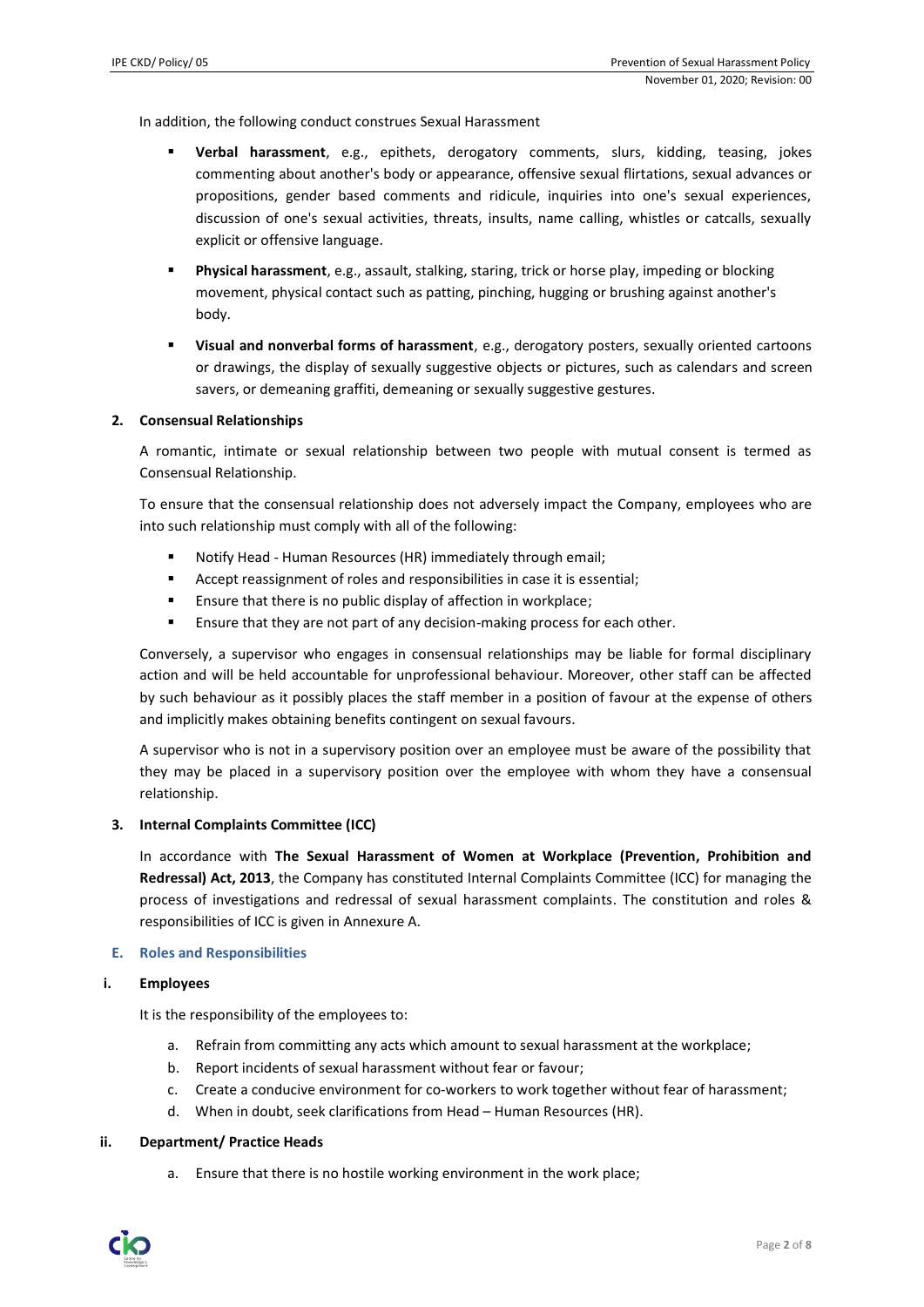In addition, the following conduct construes Sexual Harassment

- **Verbal harassment**, e.g., epithets, derogatory comments, slurs, kidding, teasing, jokes commenting about another's body or appearance, offensive sexual flirtations, sexual advances or propositions, gender based comments and ridicule, inquiries into one's sexual experiences, discussion of one's sexual activities, threats, insults, name calling, whistles or catcalls, sexually explicit or offensive language.
- Physical harassment, e.g., assault, stalking, staring, trick or horse play, impeding or blocking movement, physical contact such as patting, pinching, hugging or brushing against another's body.
- **Visual and nonverbal forms of harassment**, e.g., derogatory posters, sexually oriented cartoons or drawings, the display of sexually suggestive objects or pictures, such as calendars and screen savers, or demeaning graffiti, demeaning or sexually suggestive gestures.

#### **2. Consensual Relationships**

A romantic, intimate or sexual relationship between two people with mutual consent is termed as Consensual Relationship.

To ensure that the consensual relationship does not adversely impact the Company, employees who are into such relationship must comply with all of the following:

- Notify Head Human Resources (HR) immediately through email:
- Accept reassignment of roles and responsibilities in case it is essential;
- Ensure that there is no public display of affection in workplace;
- Ensure that they are not part of any decision-making process for each other.

Conversely, a supervisor who engages in consensual relationships may be liable for formal disciplinary action and will be held accountable for unprofessional behaviour. Moreover, other staff can be affected by such behaviour as it possibly places the staff member in a position of favour at the expense of others and implicitly makes obtaining benefits contingent on sexual favours.

A supervisor who is not in a supervisory position over an employee must be aware of the possibility that they may be placed in a supervisory position over the employee with whom they have a consensual relationship.

#### **3. Internal Complaints Committee (ICC)**

In accordance with **The Sexual Harassment of Women at Workplace (Prevention, Prohibition and Redressal) Act, 2013**, the Company has constituted Internal Complaints Committee (ICC) for managing the process of investigations and redressal of sexual harassment complaints. The constitution and roles & responsibilities of ICC is given in Annexure A.

#### **E. Roles and Responsibilities**

#### **i. Employees**

It is the responsibility of the employees to:

- a. Refrain from committing any acts which amount to sexual harassment at the workplace;
- b. Report incidents of sexual harassment without fear or favour;
- c. Create a conducive environment for co-workers to work together without fear of harassment;
- d. When in doubt, seek clarifications from Head Human Resources (HR).

#### **ii. Department/ Practice Heads**

a. Ensure that there is no hostile working environment in the work place;

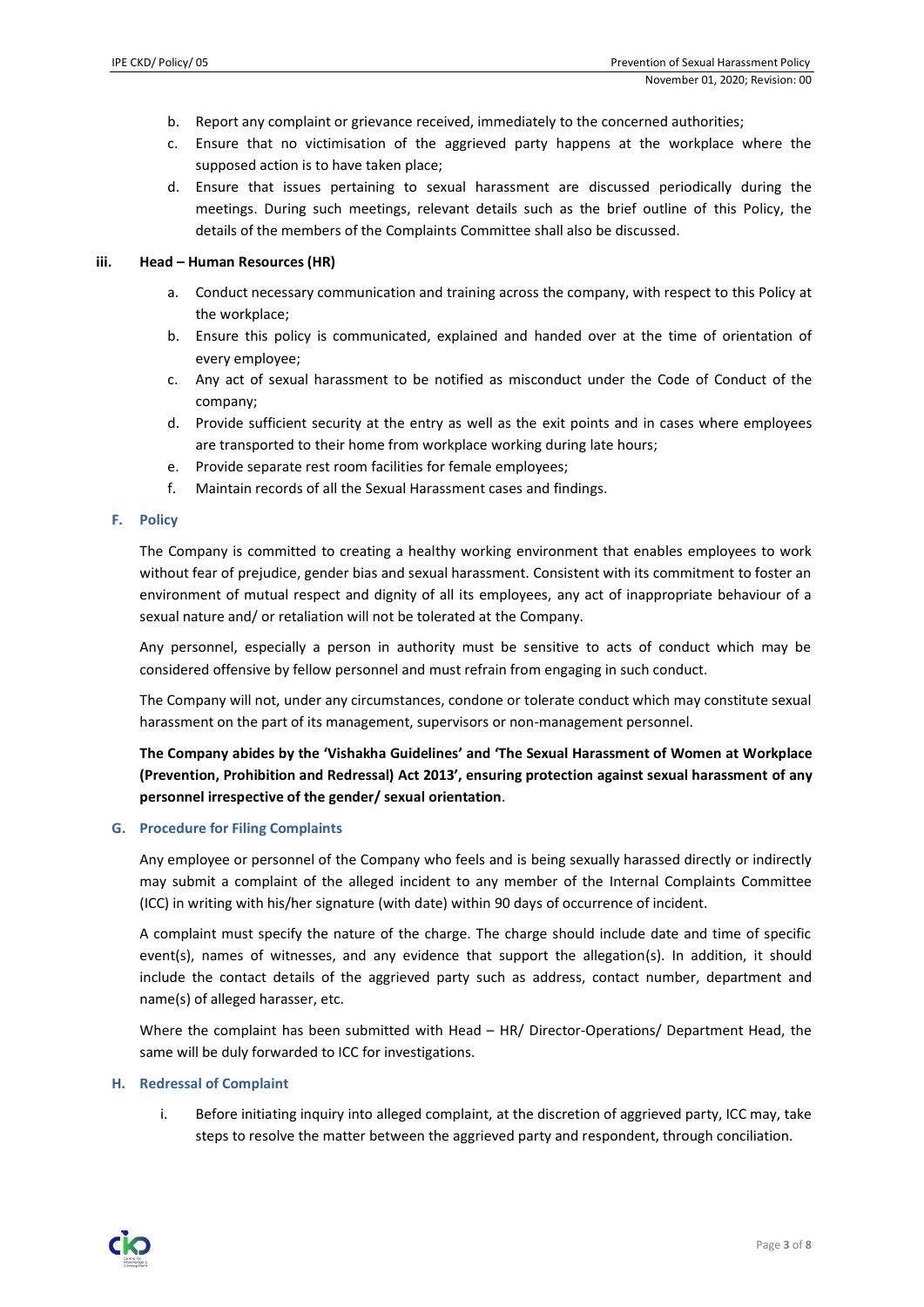- b. Report any complaint or grievance received, immediately to the concerned authorities;
- c. Ensure that no victimisation of the aggrieved party happens at the workplace where the supposed action is to have taken place;
- d. Ensure that issues pertaining to sexual harassment are discussed periodically during the meetings. During such meetings, relevant details such as the brief outline of this Policy, the details of the members of the Complaints Committee shall also be discussed.

#### **iii. Head – Human Resources (HR)**

- a. Conduct necessary communication and training across the company, with respect to this Policy at the workplace;
- b. Ensure this policy is communicated, explained and handed over at the time of orientation of every employee;
- c. Any act of sexual harassment to be notified as misconduct under the Code of Conduct of the company;
- d. Provide sufficient security at the entry as well as the exit points and in cases where employees are transported to their home from workplace working during late hours;
- e. Provide separate rest room facilities for female employees;
- f. Maintain records of all the Sexual Harassment cases and findings.

#### **F. Policy**

The Company is committed to creating a healthy working environment that enables employees to work without fear of prejudice, gender bias and sexual harassment. Consistent with its commitment to foster an environment of mutual respect and dignity of all its employees, any act of inappropriate behaviour of a sexual nature and/ or retaliation will not be tolerated at the Company.

Any personnel, especially a person in authority must be sensitive to acts of conduct which may be considered offensive by fellow personnel and must refrain from engaging in such conduct.

The Company will not, under any circumstances, condone or tolerate conduct which may constitute sexual harassment on the part of its management, supervisors or non-management personnel.

**The Company abides by the 'Vishakha Guidelines' and 'The Sexual Harassment of Women at Workplace (Prevention, Prohibition and Redressal) Act 2013', ensuring protection against sexual harassment of any personnel irrespective of the gender/ sexual orientation**.

#### **G. Procedure for Filing Complaints**

Any employee or personnel of the Company who feels and is being sexually harassed directly or indirectly may submit a complaint of the alleged incident to any member of the Internal Complaints Committee (ICC) in writing with his/her signature (with date) within 90 days of occurrence of incident.

A complaint must specify the nature of the charge. The charge should include date and time of specific event(s), names of witnesses, and any evidence that support the allegation(s). In addition, it should include the contact details of the aggrieved party such as address, contact number, department and name(s) of alleged harasser, etc.

Where the complaint has been submitted with Head – HR/ Director-Operations/ Department Head, the same will be duly forwarded to ICC for investigations.

## **H. Redressal of Complaint**

i. Before initiating inquiry into alleged complaint, at the discretion of aggrieved party, ICC may, take steps to resolve the matter between the aggrieved party and respondent, through conciliation.

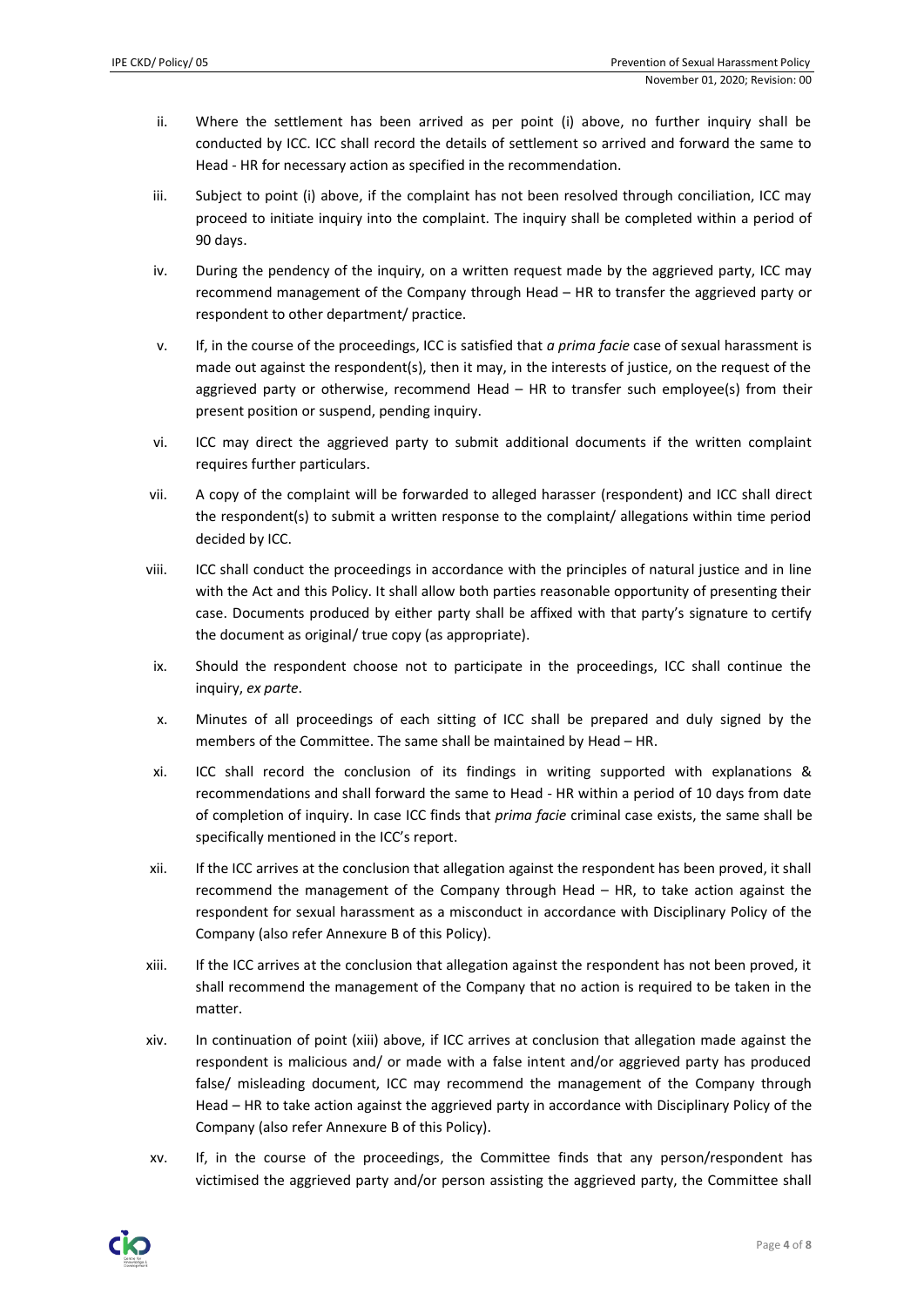- ii. Where the settlement has been arrived as per point (i) above, no further inquiry shall be conducted by ICC. ICC shall record the details of settlement so arrived and forward the same to Head - HR for necessary action as specified in the recommendation.
- iii. Subject to point (i) above, if the complaint has not been resolved through conciliation, ICC may proceed to initiate inquiry into the complaint. The inquiry shall be completed within a period of 90 days.
- iv. During the pendency of the inquiry, on a written request made by the aggrieved party, ICC may recommend management of the Company through Head – HR to transfer the aggrieved party or respondent to other department/ practice.
- v. If, in the course of the proceedings, ICC is satisfied that *a prima facie* case of sexual harassment is made out against the respondent(s), then it may, in the interests of justice, on the request of the aggrieved party or otherwise, recommend Head – HR to transfer such employee(s) from their present position or suspend, pending inquiry.
- vi. ICC may direct the aggrieved party to submit additional documents if the written complaint requires further particulars.
- vii. A copy of the complaint will be forwarded to alleged harasser (respondent) and ICC shall direct the respondent(s) to submit a written response to the complaint/ allegations within time period decided by ICC.
- viii. ICC shall conduct the proceedings in accordance with the principles of natural justice and in line with the Act and this Policy. It shall allow both parties reasonable opportunity of presenting their case. Documents produced by either party shall be affixed with that party's signature to certify the document as original/ true copy (as appropriate).
- ix. Should the respondent choose not to participate in the proceedings, ICC shall continue the inquiry, *ex parte*.
- x. Minutes of all proceedings of each sitting of ICC shall be prepared and duly signed by the members of the Committee. The same shall be maintained by Head – HR.
- xi. ICC shall record the conclusion of its findings in writing supported with explanations & recommendations and shall forward the same to Head - HR within a period of 10 days from date of completion of inquiry. In case ICC finds that *prima facie* criminal case exists, the same shall be specifically mentioned in the ICC's report.
- xii. If the ICC arrives at the conclusion that allegation against the respondent has been proved, it shall recommend the management of the Company through Head – HR, to take action against the respondent for sexual harassment as a misconduct in accordance with Disciplinary Policy of the Company (also refer Annexure B of this Policy).
- xiii. If the ICC arrives at the conclusion that allegation against the respondent has not been proved, it shall recommend the management of the Company that no action is required to be taken in the matter.
- xiv. In continuation of point (xiii) above, if ICC arrives at conclusion that allegation made against the respondent is malicious and/ or made with a false intent and/or aggrieved party has produced false/ misleading document, ICC may recommend the management of the Company through Head – HR to take action against the aggrieved party in accordance with Disciplinary Policy of the Company (also refer Annexure B of this Policy).
- xv. If, in the course of the proceedings, the Committee finds that any person/respondent has victimised the aggrieved party and/or person assisting the aggrieved party, the Committee shall

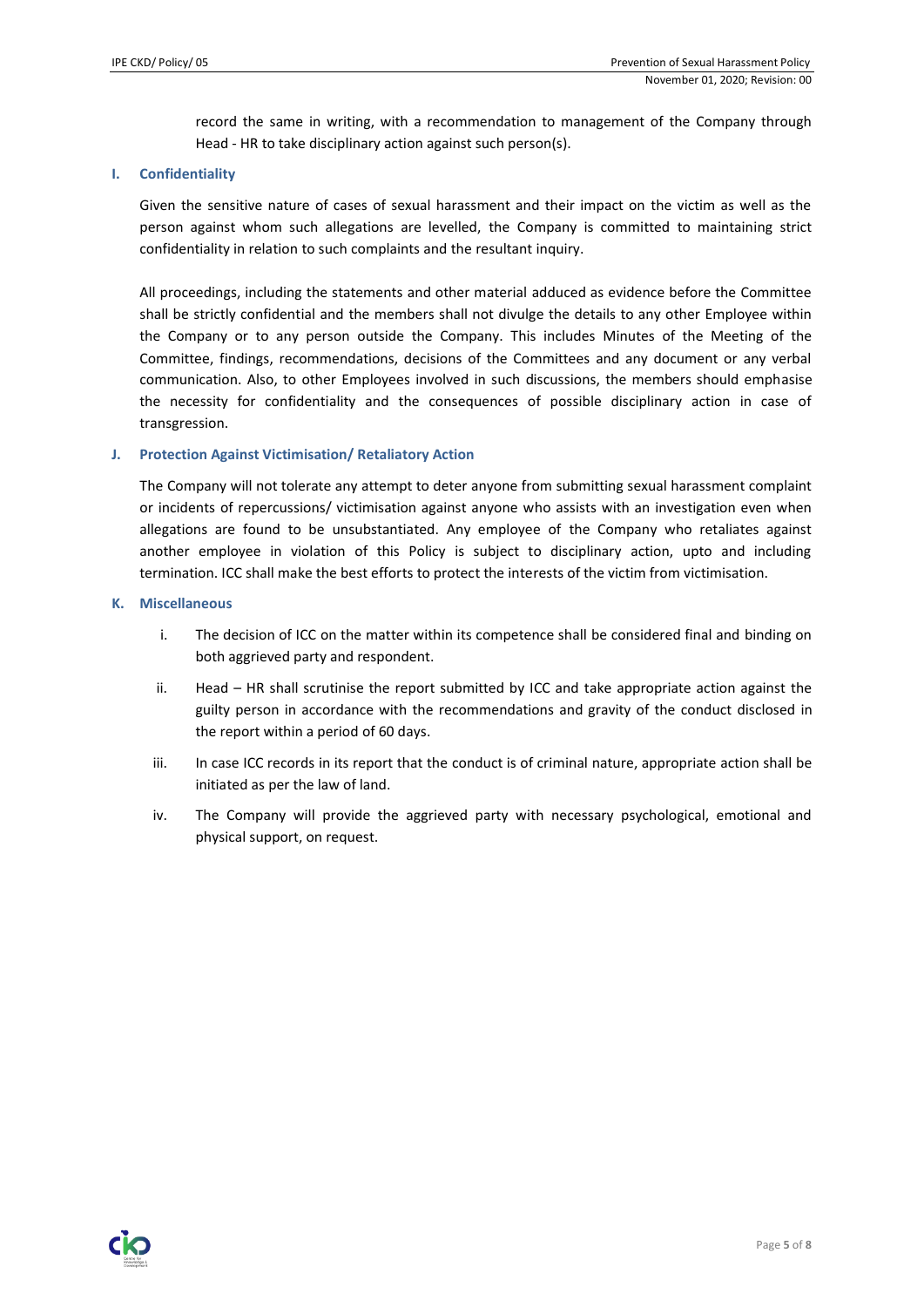record the same in writing, with a recommendation to management of the Company through Head - HR to take disciplinary action against such person(s).

#### **I. Confidentiality**

Given the sensitive nature of cases of sexual harassment and their impact on the victim as well as the person against whom such allegations are levelled, the Company is committed to maintaining strict confidentiality in relation to such complaints and the resultant inquiry.

All proceedings, including the statements and other material adduced as evidence before the Committee shall be strictly confidential and the members shall not divulge the details to any other Employee within the Company or to any person outside the Company. This includes Minutes of the Meeting of the Committee, findings, recommendations, decisions of the Committees and any document or any verbal communication. Also, to other Employees involved in such discussions, the members should emphasise the necessity for confidentiality and the consequences of possible disciplinary action in case of transgression.

#### **J. Protection Against Victimisation/ Retaliatory Action**

The Company will not tolerate any attempt to deter anyone from submitting sexual harassment complaint or incidents of repercussions/ victimisation against anyone who assists with an investigation even when allegations are found to be unsubstantiated. Any employee of the Company who retaliates against another employee in violation of this Policy is subject to disciplinary action, upto and including termination. ICC shall make the best efforts to protect the interests of the victim from victimisation.

#### **K. Miscellaneous**

- i. The decision of ICC on the matter within its competence shall be considered final and binding on both aggrieved party and respondent.
- ii. Head HR shall scrutinise the report submitted by ICC and take appropriate action against the guilty person in accordance with the recommendations and gravity of the conduct disclosed in the report within a period of 60 days.
- iii. In case ICC records in its report that the conduct is of criminal nature, appropriate action shall be initiated as per the law of land.
- iv. The Company will provide the aggrieved party with necessary psychological, emotional and physical support, on request.

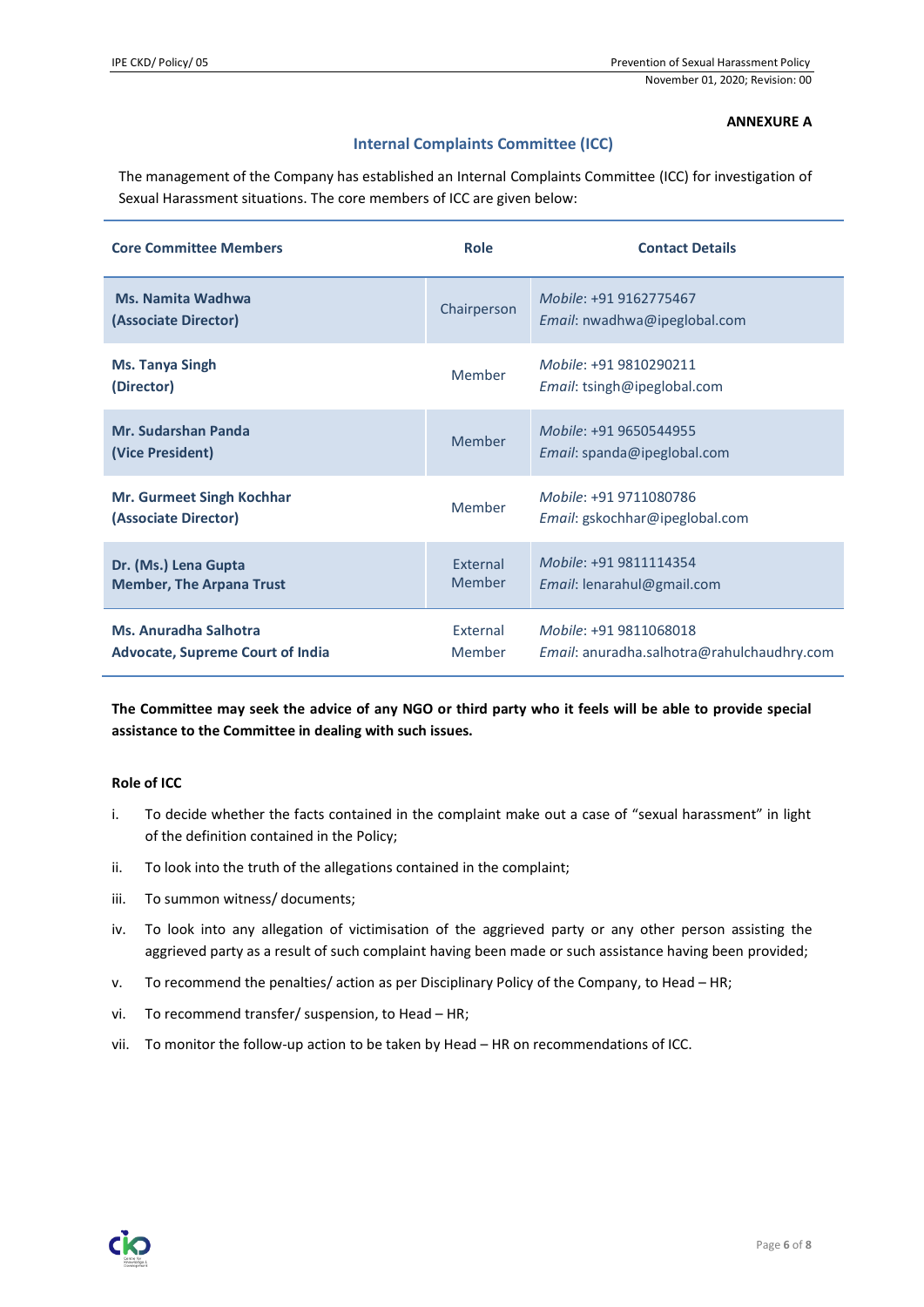# **ANNEXURE A**

# **Internal Complaints Committee (ICC)**

The management of the Company has established an Internal Complaints Committee (ICC) for investigation of Sexual Harassment situations. The core members of ICC are given below:

| <b>Core Committee Members</b>                                    | Role                      | <b>Contact Details</b>                                                      |
|------------------------------------------------------------------|---------------------------|-----------------------------------------------------------------------------|
| <b>Ms. Namita Wadhwa</b><br>(Associate Director)                 | Chairperson               | Mobile: +91 9162775467<br>Email: nwadhwa@ipeglobal.com                      |
| <b>Ms. Tanya Singh</b><br>(Director)                             | Member                    | Mobile: +91 9810290211<br><i>Email:</i> tsingh@ipeglobal.com                |
| <b>Mr. Sudarshan Panda</b><br>(Vice President)                   | Member                    | Mobile: +91 9650544955<br>Email: spanda@ipeglobal.com                       |
| <b>Mr. Gurmeet Singh Kochhar</b><br>(Associate Director)         | Member                    | Mobile: +91 9711080786<br>Email: gskochhar@ipeglobal.com                    |
| Dr. (Ms.) Lena Gupta<br><b>Member, The Arpana Trust</b>          | <b>Fxternal</b><br>Member | Mobile: +91 9811114354<br><i>Email:</i> lenarahul@gmail.com                 |
| Ms. Anuradha Salhotra<br><b>Advocate, Supreme Court of India</b> | External<br>Member        | Mobile: +91 9811068018<br><i>Email:</i> anuradha.salhotra@rahulchaudhry.com |

**The Committee may seek the advice of any NGO or third party who it feels will be able to provide special assistance to the Committee in dealing with such issues.**

## **Role of ICC**

- i. To decide whether the facts contained in the complaint make out a case of "sexual harassment" in light of the definition contained in the Policy;
- ii. To look into the truth of the allegations contained in the complaint;
- iii. To summon witness/ documents;
- iv. To look into any allegation of victimisation of the aggrieved party or any other person assisting the aggrieved party as a result of such complaint having been made or such assistance having been provided;
- v. To recommend the penalties/ action as per Disciplinary Policy of the Company, to Head HR;
- vi. To recommend transfer/ suspension, to Head HR;
- vii. To monitor the follow-up action to be taken by Head HR on recommendations of ICC.

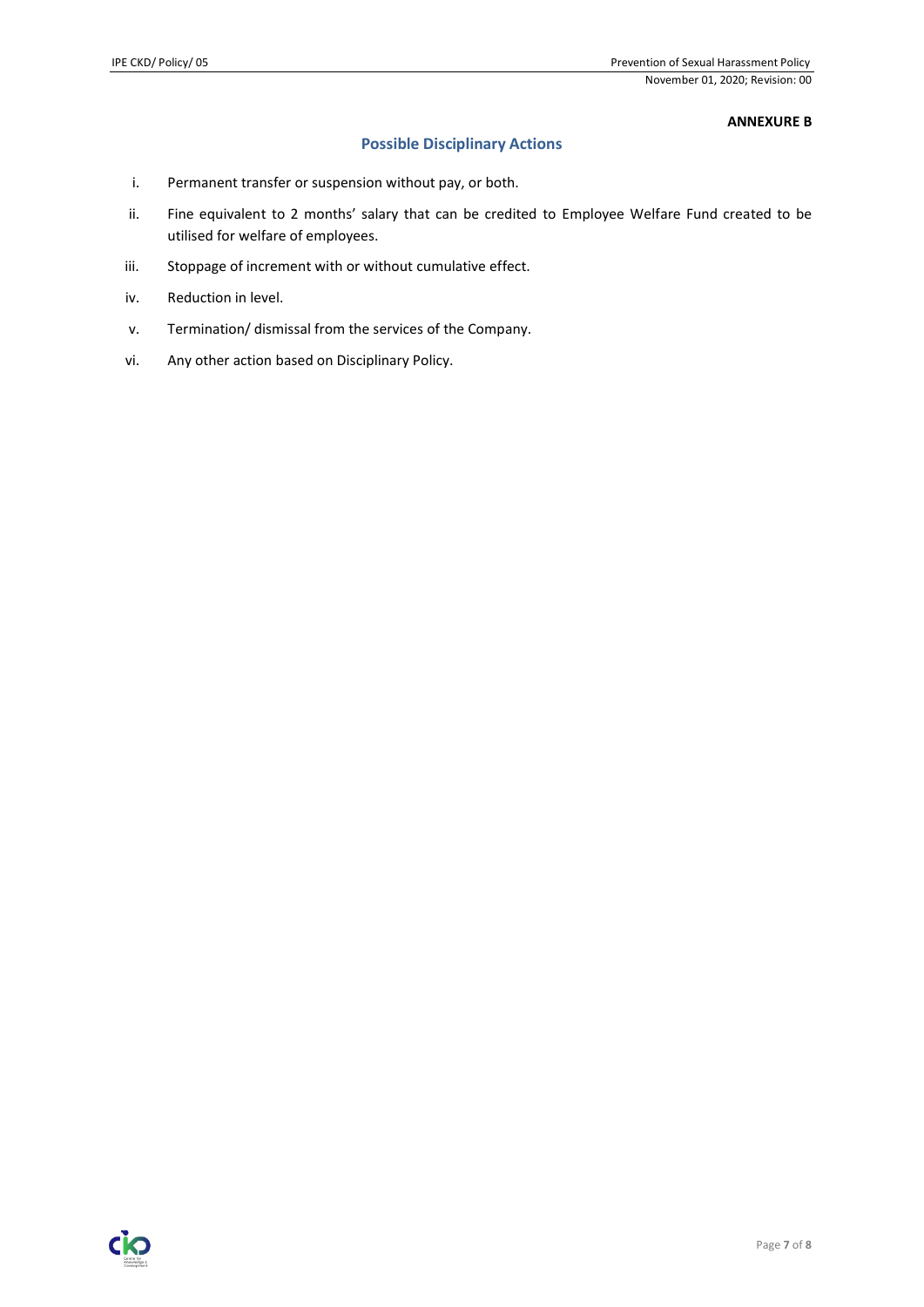#### **ANNEXURE B**

# **Possible Disciplinary Actions**

- i. Permanent transfer or suspension without pay, or both.
- ii. Fine equivalent to 2 months' salary that can be credited to Employee Welfare Fund created to be utilised for welfare of employees.
- iii. Stoppage of increment with or without cumulative effect.
- iv. Reduction in level.
- v. Termination/ dismissal from the services of the Company.
- vi. Any other action based on Disciplinary Policy.